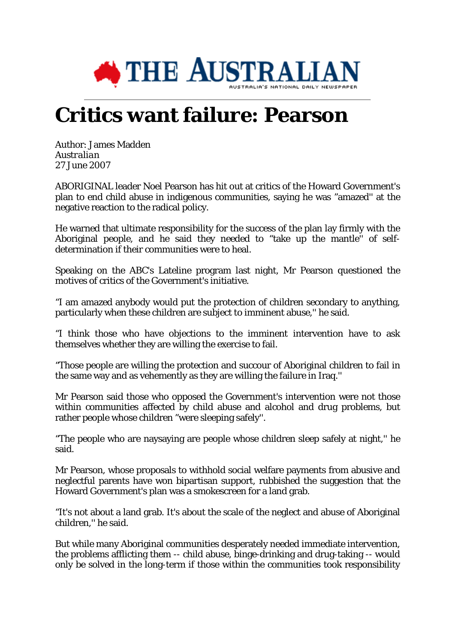

## **Critics want failure: Pearson**

Author: James Madden *Australian* 27 June 2007

ABORIGINAL leader Noel Pearson has hit out at critics of the Howard Government's plan to end child abuse in indigenous communities, saying he was "amazed'' at the negative reaction to the radical policy.

He warned that ultimate responsibility for the success of the plan lay firmly with the Aboriginal people, and he said they needed to "take up the mantle'' of selfdetermination if their communities were to heal.

Speaking on the ABC's Lateline program last night, Mr Pearson questioned the motives of critics of the Government's initiative.

"I am amazed anybody would put the protection of children secondary to anything, particularly when these children are subject to imminent abuse,'' he said.

"I think those who have objections to the imminent intervention have to ask themselves whether they are willing the exercise to fail.

"Those people are willing the protection and succour of Aboriginal children to fail in the same way and as vehemently as they are willing the failure in Iraq.''

Mr Pearson said those who opposed the Government's intervention were not those within communities affected by child abuse and alcohol and drug problems, but rather people whose children "were sleeping safely''.

"The people who are naysaying are people whose children sleep safely at night,'' he said.

Mr Pearson, whose proposals to withhold social welfare payments from abusive and neglectful parents have won bipartisan support, rubbished the suggestion that the Howard Government's plan was a smokescreen for a land grab.

"It's not about a land grab. It's about the scale of the neglect and abuse of Aboriginal children,'' he said.

But while many Aboriginal communities desperately needed immediate intervention, the problems afflicting them -- child abuse, binge-drinking and drug-taking -- would only be solved in the long-term if those within the communities took responsibility